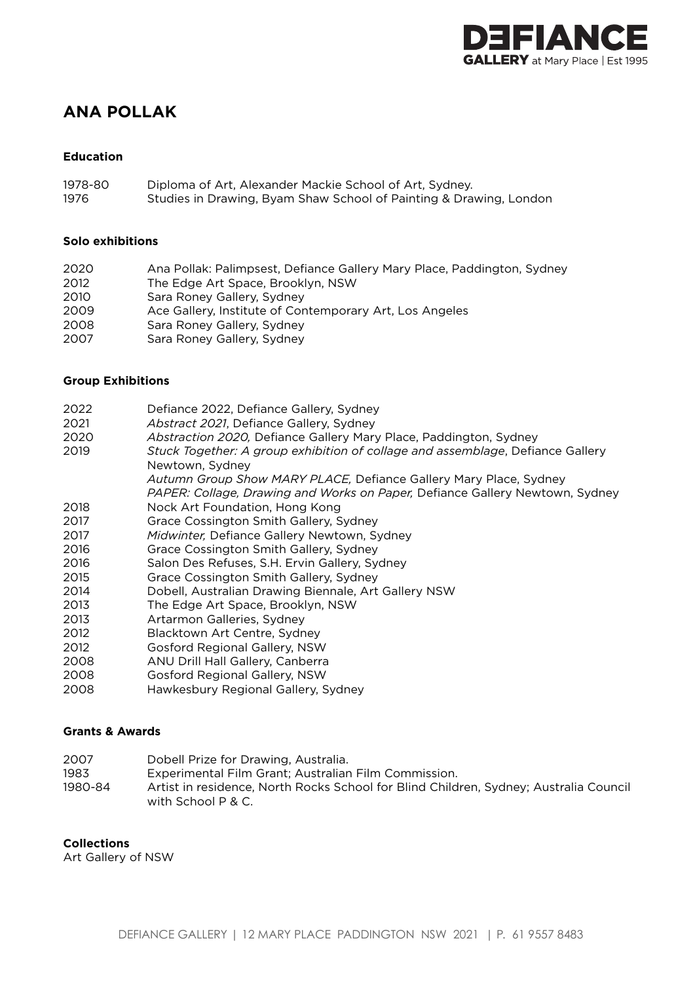

# **ANA POLLAK**

### **Education**

| 1978-80 | Diploma of Art, Alexander Mackie School of Art, Sydney.            |
|---------|--------------------------------------------------------------------|
| 1976    | Studies in Drawing, Byam Shaw School of Painting & Drawing, London |

#### **Solo exhibitions**

2020 Ana Pollak: Palimpsest, Defiance Gallery Mary Place, Paddington, Sydney 2012 The Edge Art Space, Brooklyn, NSW 2010 Sara Roney Gallery, Sydney 2009 Ace Gallery, Institute of Contemporary Art, Los Angeles 2008 Sara Roney Gallery, Sydney 2007 Sara Roney Gallery, Sydney

#### **Group Exhibitions**

- 2022 Defiance 2022, Defiance Gallery, Sydney
- 2021 *Abstract 2021*, Defiance Gallery, Sydney
- 2020 *Abstraction 2020,* Defiance Gallery Mary Place, Paddington, Sydney
- 2019 *Stuck Together: A group exhibition of collage and assemblage*, Defiance Gallery Newtown, Sydney
	- *Autumn Group Show MARY PLACE,* Defiance Gallery Mary Place, Sydney
- *PAPER: Collage, Drawing and Works on Paper,* Defiance Gallery Newtown, Sydney 2018 Nock Art Foundation, Hong Kong
- 
- 2017 Grace Cossington Smith Gallery, Sydney
- 2017 *Midwinter,* Defiance Gallery Newtown, Sydney
- 2016 Grace Cossington Smith Gallery, Sydney
- 2016 Salon Des Refuses, S.H. Ervin Gallery, Sydney
- 2015 Grace Cossington Smith Gallery, Sydney
- 2014 Dobell, Australian Drawing Biennale, Art Gallery NSW
- 2013 The Edge Art Space, Brooklyn, NSW
- 2013 Artarmon Galleries, Sydney
- 2012 Blacktown Art Centre, Sydney
- 2012 Gosford Regional Gallery, NSW
- 2008 ANU Drill Hall Gallery, Canberra
- 2008 Gosford Regional Gallery, NSW
- 2008 Hawkesbury Regional Gallery, Sydney

# **Grants & Awards**

- 2007 Dobell Prize for Drawing, Australia.
- 1983 Experimental Film Grant; Australian Film Commission.
- 1980-84 Artist in residence, North Rocks School for Blind Children, Sydney; Australia Council with School P & C.

# **Collections**

Art Gallery of NSW